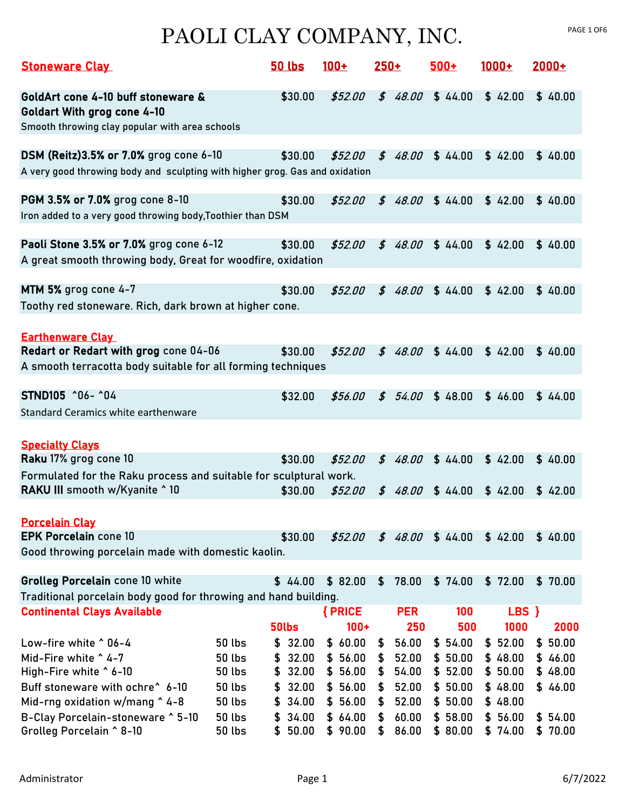| <b>Stoneware Clay</b>                                                                                                                                                                       |                                                                                             | <b>50 lbs</b>                                                                      | $100+$                                                                         | $250+$                           |                                                    | $500+$                                                         | $1000+$                                                        | $2000+$                                             |
|---------------------------------------------------------------------------------------------------------------------------------------------------------------------------------------------|---------------------------------------------------------------------------------------------|------------------------------------------------------------------------------------|--------------------------------------------------------------------------------|----------------------------------|----------------------------------------------------|----------------------------------------------------------------|----------------------------------------------------------------|-----------------------------------------------------|
| GoldArt cone 4-10 buff stoneware &<br><b>Goldart With grog cone 4-10</b><br>Smooth throwing clay popular with area schools                                                                  |                                                                                             | \$30.00                                                                            | \$52.00                                                                        | \$48.00                          |                                                    | \$44.00                                                        | \$42.00                                                        | \$40.00                                             |
| DSM (Reitz) 3.5% or 7.0% grog cone 6-10<br>A very good throwing body and sculpting with higher grog. Gas and oxidation                                                                      |                                                                                             | \$30.00                                                                            | \$52.00                                                                        | \$48.00                          |                                                    | \$44.00                                                        | \$42.00                                                        | \$40.00                                             |
| PGM 3.5% or 7.0% grog cone 8-10<br>Iron added to a very good throwing body, Toothier than DSM                                                                                               |                                                                                             | \$30.00                                                                            | \$52.00                                                                        | \$48.00                          |                                                    | \$44.00                                                        | \$42.00                                                        | \$40.00                                             |
| Paoli Stone 3.5% or 7.0% grog cone 6-12<br>A great smooth throwing body, Great for woodfire, oxidation                                                                                      |                                                                                             | \$30.00                                                                            | \$52.00                                                                        | \$                               | 48.00                                              | \$44.00                                                        | \$42.00                                                        | \$40.00                                             |
| MTM 5% grog cone 4-7<br>Toothy red stoneware. Rich, dark brown at higher cone.                                                                                                              |                                                                                             | \$30.00                                                                            | \$52.00                                                                        | \$48.00                          |                                                    | \$44.00                                                        | \$42.00                                                        | \$40.00                                             |
| <b>Earthenware Clay</b><br>Redart or Redart with grog cone 04-06<br>A smooth terracotta body suitable for all forming techniques                                                            |                                                                                             | \$30.00                                                                            | \$52.00                                                                        | \$48.00                          |                                                    | \$44.00                                                        | \$42.00                                                        | \$40.00                                             |
| STND105 ^06- ^04<br>Standard Ceramics white earthenware                                                                                                                                     |                                                                                             | \$32.00                                                                            | \$56.00                                                                        | \$                               | 54.00                                              | \$48.00                                                        | \$46.00                                                        | \$44.00                                             |
| <b>Specialty Clays</b><br>Raku 17% grog cone 10                                                                                                                                             |                                                                                             | \$30.00                                                                            | \$52.00                                                                        | \$48.00                          |                                                    | \$44.00                                                        | \$42.00                                                        | \$40.00                                             |
| Formulated for the Raku process and suitable for sculptural work.<br>RAKU III smooth w/Kyanite ^ 10                                                                                         |                                                                                             | \$30.00                                                                            | \$52.00                                                                        | \$48.00                          |                                                    | \$44.00                                                        | \$42.00                                                        | \$42.00                                             |
| <b>Porcelain Clay</b><br><b>EPK Porcelain cone 10</b>                                                                                                                                       |                                                                                             | \$30.00                                                                            | \$52.00                                                                        |                                  | \$48.00                                            | \$44.00                                                        | \$42.00                                                        | \$40.00                                             |
| Good throwing porcelain made with domestic kaolin.<br>Grolleg Porcelain cone 10 white                                                                                                       |                                                                                             | \$44.00                                                                            | \$82.00                                                                        | \$                               | 78.00                                              | \$74.00                                                        | \$72.00                                                        | \$70.00                                             |
| Traditional porcelain body good for throwing and hand building.<br><b>Continental Clays Available</b>                                                                                       |                                                                                             | 50lbs                                                                              | { PRICE<br>$100 +$                                                             |                                  | <b>PER</b><br>250                                  | 100<br>500                                                     | LBS }<br>1000                                                  | 2000                                                |
| Low-fire white ^ 06-4<br>Mid-Fire white ^ 4-7<br>High-Fire white ^ 6-10<br>Buff stoneware with ochre <sup>^</sup> 6-10<br>Mid-rng oxidation w/mang ^4-8<br>B-Clay Porcelain-stoneware ^5-10 | <b>50 lbs</b><br><b>50 lbs</b><br>50 lbs<br><b>50 lbs</b><br><b>50 lbs</b><br><b>50 lbs</b> | 32.00<br>\$<br>32.00<br>\$<br>32.00<br>\$<br>32.00<br>\$<br>34.00<br>\$<br>\$34.00 | \$60.00<br>56.00<br>\$<br>56.00<br>\$<br>\$<br>56.00<br>56.00<br>\$<br>\$64.00 | \$<br>\$<br>\$<br>\$<br>\$<br>\$ | 56.00<br>52.00<br>54.00<br>52.00<br>52.00<br>60.00 | \$54.00<br>\$50.00<br>\$52.00<br>\$50.00<br>\$50.00<br>\$58.00 | \$52.00<br>\$48.00<br>\$50.00<br>\$48.00<br>\$48.00<br>\$56.00 | \$50.00<br>\$46.00<br>\$48.00<br>\$46.00<br>\$54.00 |
| Grolleg Porcelain ^ 8-10                                                                                                                                                                    | <b>50 lbs</b>                                                                               | \$50.00                                                                            | \$90.00                                                                        | \$                               | 86.00                                              | \$80.00                                                        | \$74.00                                                        | \$70.00                                             |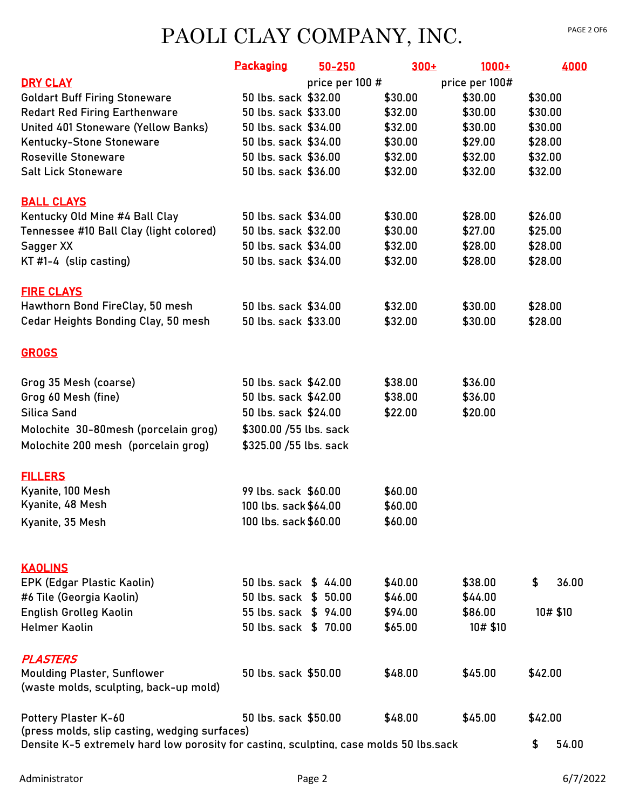|                                                                                                                                         | <b>Packaging</b>                              | 50-250          | $300+$             | $1000+$             | 4000        |
|-----------------------------------------------------------------------------------------------------------------------------------------|-----------------------------------------------|-----------------|--------------------|---------------------|-------------|
| <b>DRY CLAY</b>                                                                                                                         |                                               | price per 100 # |                    | price per 100#      |             |
| <b>Goldart Buff Firing Stoneware</b>                                                                                                    | 50 lbs. sack \$32.00                          |                 | \$30.00            | \$30.00             | \$30.00     |
| <b>Redart Red Firing Earthenware</b>                                                                                                    | 50 lbs. sack \$33.00                          |                 | \$32.00            | \$30.00             | \$30.00     |
| United 401 Stoneware (Yellow Banks)                                                                                                     | 50 lbs. sack \$34.00                          |                 | \$32.00            | \$30.00             | \$30.00     |
| Kentucky-Stone Stoneware                                                                                                                | 50 lbs. sack \$34.00                          |                 | \$30.00            | \$29.00             | \$28.00     |
| <b>Roseville Stoneware</b>                                                                                                              | 50 lbs. sack \$36.00                          |                 | \$32.00            | \$32.00             | \$32.00     |
| <b>Salt Lick Stoneware</b>                                                                                                              | 50 lbs. sack \$36.00                          |                 | \$32.00            | \$32.00             | \$32.00     |
| <b>BALL CLAYS</b>                                                                                                                       |                                               |                 |                    |                     |             |
| Kentucky Old Mine #4 Ball Clay                                                                                                          | 50 lbs. sack \$34.00                          |                 | \$30.00            | \$28.00             | \$26.00     |
| Tennessee #10 Ball Clay (light colored)                                                                                                 | 50 lbs. sack \$32.00                          |                 | \$30.00            | \$27.00             | \$25.00     |
| Sagger XX                                                                                                                               | 50 lbs. sack \$34.00                          |                 | \$32.00            | \$28.00             | \$28.00     |
| KT #1-4 (slip casting)                                                                                                                  | 50 lbs. sack \$34.00                          |                 | \$32.00            | \$28.00             | \$28.00     |
| <u>FIRE CLAYS</u>                                                                                                                       |                                               |                 |                    |                     |             |
| Hawthorn Bond FireClay, 50 mesh                                                                                                         | 50 lbs. sack \$34.00                          |                 | \$32.00            | \$30.00             | \$28.00     |
| Cedar Heights Bonding Clay, 50 mesh                                                                                                     | 50 lbs. sack \$33.00                          |                 | \$32.00            | \$30.00             | \$28.00     |
| <b>GROGS</b>                                                                                                                            |                                               |                 |                    |                     |             |
| Grog 35 Mesh (coarse)                                                                                                                   | 50 lbs. sack \$42.00                          |                 | \$38.00            | \$36.00             |             |
| Grog 60 Mesh (fine)                                                                                                                     | 50 lbs. sack \$42.00                          |                 | \$38.00            | \$36.00             |             |
| Silica Sand                                                                                                                             | 50 lbs. sack \$24.00                          |                 | \$22.00            | \$20.00             |             |
| Molochite 30-80mesh (porcelain grog)                                                                                                    | \$300.00 /55 lbs. sack                        |                 |                    |                     |             |
| Molochite 200 mesh (porcelain grog)                                                                                                     | \$325.00 /55 lbs. sack                        |                 |                    |                     |             |
| <u>FILLERS</u>                                                                                                                          |                                               |                 |                    |                     |             |
| Kyanite, 100 Mesh                                                                                                                       | 99 lbs. sack \$60.00                          |                 | \$60.00            |                     |             |
| Kyanite, 48 Mesh                                                                                                                        | 100 lbs. sack \$64.00                         |                 | \$60.00            |                     |             |
| Kyanite, 35 Mesh                                                                                                                        | 100 lbs. sack \$60.00                         |                 | \$60.00            |                     |             |
|                                                                                                                                         |                                               |                 |                    |                     |             |
| <b>KAOLINS</b>                                                                                                                          |                                               |                 |                    |                     |             |
| EPK (Edgar Plastic Kaolin)                                                                                                              | 50 lbs. sack \$44.00                          |                 | \$40.00            | \$38.00             | \$<br>36.00 |
| #6 Tile (Georgia Kaolin)                                                                                                                | 50 lbs. sack \$ 50.00                         |                 | \$46.00            | \$44.00             |             |
| English Grolleg Kaolin<br><b>Helmer Kaolin</b>                                                                                          | 55 lbs. sack \$ 94.00<br>50 lbs. sack \$70.00 |                 | \$94.00<br>\$65.00 | \$86.00<br>10# \$10 | 10# \$10    |
|                                                                                                                                         |                                               |                 |                    |                     |             |
| <b>PLASTERS</b>                                                                                                                         |                                               |                 |                    |                     |             |
| <b>Moulding Plaster, Sunflower</b><br>(waste molds, sculpting, back-up mold)                                                            | 50 lbs. sack \$50.00                          |                 | \$48.00            | \$45.00             | \$42.00     |
| Pottery Plaster K-60                                                                                                                    | 50 lbs. sack \$50.00                          |                 | \$48.00            | \$45.00             | \$42.00     |
| (press molds, slip casting, wedging surfaces)<br>Densite K-5 extremely hard low porosity for casting. sculpting. case molds 50 lbs.sack |                                               |                 |                    |                     | \$<br>54.00 |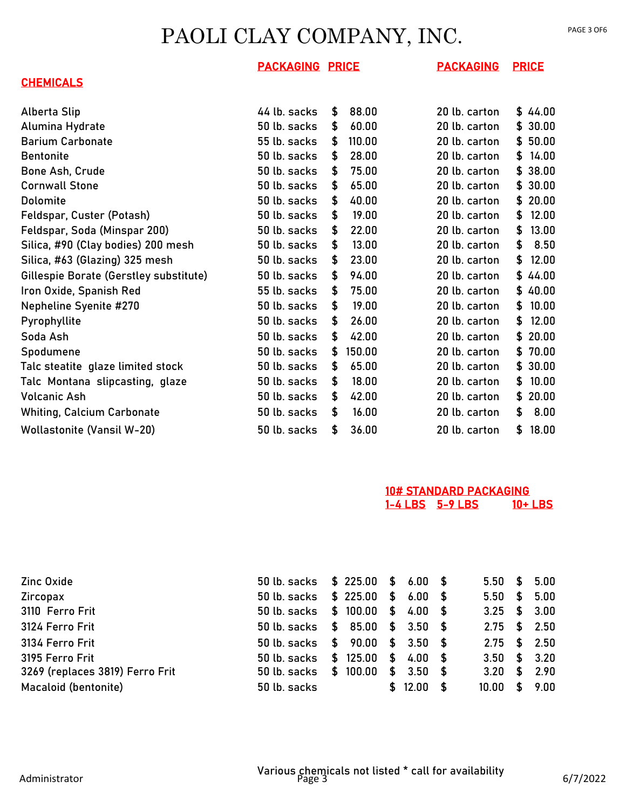#### **CHEMICALS**

| Alberta Slip                           | 44 lb. sacks | S  | 88.00  | 20 lb. carton |    | \$44.00 |
|----------------------------------------|--------------|----|--------|---------------|----|---------|
| Alumina Hydrate                        | 50 lb. sacks | \$ | 60.00  | 20 lb. carton | \$ | 30.00   |
| <b>Barium Carbonate</b>                | 55 lb. sacks | S  | 110.00 | 20 lb. carton | \$ | 50.00   |
| <b>Bentonite</b>                       | 50 lb. sacks | \$ | 28.00  | 20 lb. carton | \$ | 14.00   |
| Bone Ash, Crude                        | 50 lb. sacks | S  | 75.00  | 20 lb. carton | \$ | 38.00   |
| <b>Cornwall Stone</b>                  | 50 lb. sacks | \$ | 65.00  | 20 lb. carton | \$ | 30.00   |
| Dolomite                               | 50 lb. sacks | \$ | 40.00  | 20 lb. carton | S  | 20.00   |
| Feldspar, Custer (Potash)              | 50 lb. sacks | \$ | 19.00  | 20 lb. carton | \$ | 12.00   |
| Feldspar, Soda (Minspar 200)           | 50 lb. sacks | \$ | 22.00  | 20 lb. carton | S  | 13.00   |
| Silica, #90 (Clay bodies) 200 mesh     | 50 lb. sacks | \$ | 13.00  | 20 lb. carton | \$ | 8.50    |
| Silica, #63 (Glazing) 325 mesh         | 50 lb. sacks | \$ | 23.00  | 20 lb. carton | \$ | 12.00   |
| Gillespie Borate (Gerstley substitute) | 50 lb. sacks | \$ | 94.00  | 20 lb. carton | \$ | 44.00   |
| Iron Oxide, Spanish Red                | 55 lb. sacks | S  | 75.00  | 20 lb. carton | \$ | 40.00   |
| <b>Nepheline Syenite #270</b>          | 50 lb. sacks | \$ | 19.00  | 20 lb. carton | S  | 10.00   |
| Pyrophyllite                           | 50 lb. sacks | \$ | 26.00  | 20 lb. carton | S  | 12.00   |
| Soda Ash                               | 50 lb. sacks | \$ | 42.00  | 20 lb. carton | \$ | 20.00   |
| Spodumene                              | 50 lb. sacks | S  | 150.00 | 20 lb. carton | S. | 70.00   |
| Talc steatite glaze limited stock      | 50 lb. sacks | \$ | 65.00  | 20 lb. carton | \$ | 30.00   |
| Talc Montana slipcasting, glaze        | 50 lb. sacks | \$ | 18.00  | 20 lb. carton | \$ | 10.00   |
| <b>Volcanic Ash</b>                    | 50 lb. sacks | \$ | 42.00  | 20 lb. carton | S  | 20.00   |
| <b>Whiting, Calcium Carbonate</b>      | 50 lb. sacks | \$ | 16.00  | 20 lb. carton | \$ | 8.00    |
| <b>Wollastonite (Vansil W-20)</b>      | 50 lb. sacks | \$ | 36.00  | 20 lb. carton | \$ | 18.00   |

#### 10# STANDARD PACKAGING 1-4 LBS 5-9 LBS 10+ LBS

| Zinc Oxide                      | 50 lb. sacks \$ 225.00 \$ 6.00 \$ |  |            |   |       |     | $5.50 \quad $5.00$ |
|---------------------------------|-----------------------------------|--|------------|---|-------|-----|--------------------|
| Zircopax                        | 50 lb. sacks \$ 225.00 \$ 6.00 \$ |  |            |   |       |     | $5.50 \quad $5.00$ |
| 3110 Ferro Frit                 | 50 lb. sacks \$ 100.00 \$ 4.00 \$ |  |            |   |       |     | $3.25$ \$ 3.00     |
| 3124 Ferro Frit                 | 50 lb. sacks \$ 85.00 \$ 3.50 \$  |  |            |   |       |     | $2.75$ \$ 2.50     |
| 3134 Ferro Frit                 | 50 lb. sacks \$ 90.00 \$ 3.50 \$  |  |            |   |       |     | $2.75$ \$ 2.50     |
| 3195 Ferro Frit                 | 50 lb. sacks \$ 125.00 \$ 4.00 \$ |  |            |   |       |     | $3.50$ \$ $3.20$   |
| 3269 (replaces 3819) Ferro Frit | 50 lb. sacks \$ 100.00            |  | $$3.50$ \$ |   |       |     | $3.20 \quad $2.90$ |
| Macaloid (bentonite)            | 50 lb. sacks                      |  | \$ 12.00   | க | 10.00 | \$. | 9.00               |
|                                 |                                   |  |            |   |       |     |                    |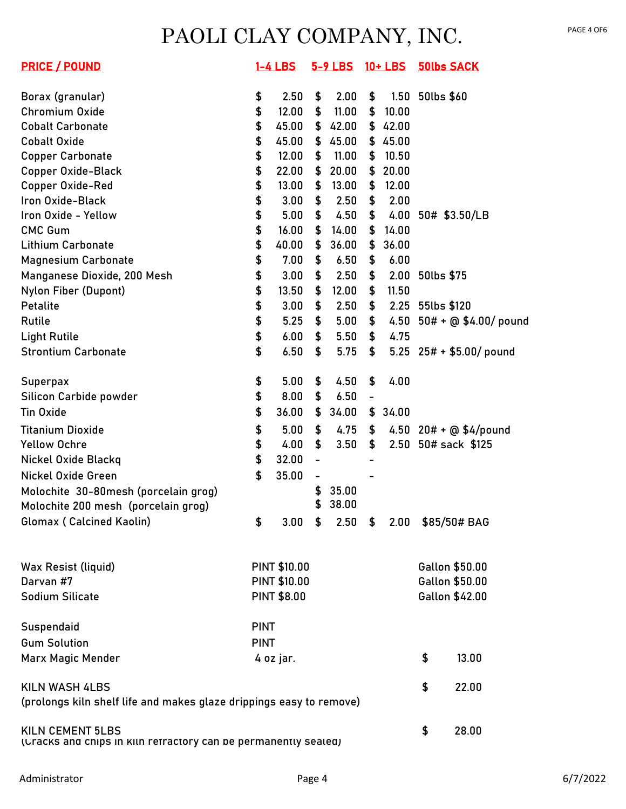| <b>PRICE / POUND</b>                                                                       |             | $1-4$ LBS           |                | 5-9 LBS |                | 10+ LBS            |                  | <b>50lbs SACK</b>          |
|--------------------------------------------------------------------------------------------|-------------|---------------------|----------------|---------|----------------|--------------------|------------------|----------------------------|
| Borax (granular)                                                                           | \$          | 2.50                | \$             | 2.00    | \$             |                    | 1.50 50lbs \$60  |                            |
| Chromium Oxide                                                                             | \$          | 12.00               | \$             | 11.00   | \$             | 10.00              |                  |                            |
| <b>Cobalt Carbonate</b>                                                                    | \$          | 45.00               | \$             | 42.00   |                | \$42.00            |                  |                            |
| <b>Cobalt Oxide</b>                                                                        | \$          | 45.00               | \$             | 45.00   |                | \$45.00            |                  |                            |
| <b>Copper Carbonate</b>                                                                    | \$          | 12.00               | \$             | 11.00   | \$             | 10.50              |                  |                            |
| <b>Copper Oxide-Black</b>                                                                  | \$          | 22.00               | \$             | 20.00   | \$             | 20.00              |                  |                            |
| Copper Oxide-Red                                                                           | \$          | 13.00               | \$             | 13.00   | \$             | 12.00              |                  |                            |
| Iron Oxide-Black                                                                           | \$          | 3.00                | \$             | 2.50    | \$             | 2.00               |                  |                            |
| Iron Oxide - Yellow                                                                        | \$          | 5.00                | \$             | 4.50    | \$             |                    |                  | 4.00 50# \$3.50/LB         |
| <b>CMC Gum</b>                                                                             | \$          | 16.00               | \$             | 14.00   | \$             | 14.00              |                  |                            |
| <b>Lithium Carbonate</b>                                                                   | \$          | 40.00               | \$             | 36.00   | \$             | 36.00              |                  |                            |
| <b>Magnesium Carbonate</b>                                                                 | \$          | 7.00                | \$             | 6.50    | \$             | 6.00               |                  |                            |
| Manganese Dioxide, 200 Mesh                                                                | \$          | 3.00                | \$             | 2.50    | \$             |                    | 2.00 50lbs \$75  |                            |
| Nylon Fiber (Dupont)                                                                       | \$          | 13.50               | \$             | 12.00   | \$             | 11.50              |                  |                            |
| Petalite                                                                                   | \$          | 3.00                | \$             | 2.50    | \$             |                    | 2.25 55lbs \$120 |                            |
| Rutile                                                                                     | \$          | 5.25                | \$             | 5.00    | \$             |                    |                  | 4.50 $50# + @ $4.00$ pound |
| <b>Light Rutile</b>                                                                        | \$          | 6.00                | \$             | 5.50    | \$             | 4.75               |                  |                            |
| <b>Strontium Carbonate</b>                                                                 | \$          | 6.50                | \$             | 5.75    | \$             |                    |                  | 5.25 $25# + $5.00/$ pound  |
| <b>Superpax</b>                                                                            | \$          | 5.00                | \$             | 4.50    | \$             | 4.00               |                  |                            |
| Silicon Carbide powder                                                                     | \$          | 8.00                | \$             | 6.50    | $\blacksquare$ |                    |                  |                            |
| <b>Tin Oxide</b>                                                                           | \$          | 36.00               | \$             | 34.00   |                | \$34.00            |                  |                            |
| <b>Titanium Dioxide</b>                                                                    | \$          | 5.00                | \$             | 4.75    | \$             |                    |                  | 4.50 $20# + @$ \$4/pound   |
| <b>Yellow Ochre</b>                                                                        | \$          | 4.00                | \$             | 3.50    | \$             |                    |                  | 2.50 50# sack \$125        |
| Nickel Oxide Blackq                                                                        | \$          | 32.00               | $\blacksquare$ |         |                |                    |                  |                            |
| Nickel Oxide Green                                                                         | \$          | 35.00               | -              |         |                |                    |                  |                            |
| Molochite 30-80mesh (porcelain grog)                                                       |             |                     | \$             | 35.00   |                |                    |                  |                            |
| Molochite 200 mesh (porcelain grog)                                                        |             |                     | \$             | 38.00   |                |                    |                  |                            |
| Glomax (Calcined Kaolin)                                                                   | \$          | 3.00                | \$             |         |                | $2.50 \quad $2.00$ |                  | \$85/50# BAG               |
|                                                                                            |             |                     |                |         |                |                    |                  |                            |
| Wax Resist (liquid)                                                                        |             | <b>PINT \$10.00</b> |                |         |                |                    |                  | Gallon \$50.00             |
| Darvan #7                                                                                  |             | <b>PINT \$10.00</b> |                |         |                |                    |                  | Gallon \$50.00             |
| <b>Sodium Silicate</b>                                                                     |             | <b>PINT \$8.00</b>  |                |         |                |                    |                  | Gallon \$42.00             |
| Suspendaid                                                                                 | <b>PINT</b> |                     |                |         |                |                    |                  |                            |
| <b>Gum Solution</b>                                                                        | <b>PINT</b> |                     |                |         |                |                    |                  |                            |
| Marx Magic Mender                                                                          |             | 4 oz jar.           |                |         |                |                    | \$               | 13.00                      |
| <b>KILN WASH 4LBS</b>                                                                      |             |                     |                |         |                |                    | \$               | 22.00                      |
| (prolongs kiln shelf life and makes glaze drippings easy to remove)                        |             |                     |                |         |                |                    |                  |                            |
| <b>KILN CEMENT 5LBS</b><br>(Uracks and chips in kiln refractory can be permanently sealed) |             |                     |                |         |                |                    | \$               | 28.00                      |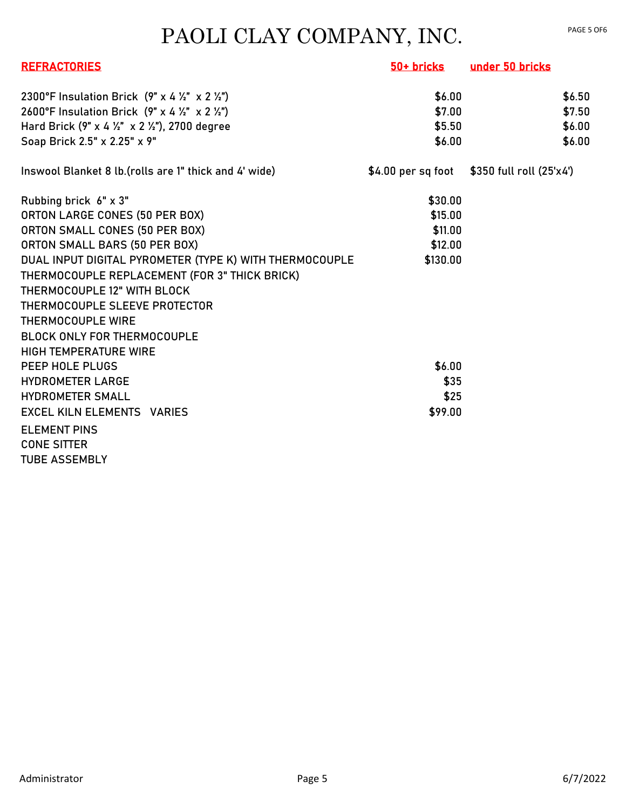| <b>REFRACTORIES</b>                                     | 50+ bricks | under 50 bricks                               |
|---------------------------------------------------------|------------|-----------------------------------------------|
| 2300°F Insulation Brick (9" x 4 1/2" x 2 1/2")          | \$6.00     | \$6.50                                        |
| 2600°F Insulation Brick (9" x 4 1/2" x 2 1/2")          | \$7.00     | \$7.50                                        |
| Hard Brick (9" x 4 1/2" x 2 1/2"), 2700 degree          | \$5.50     | \$6.00                                        |
| Soap Brick 2.5" x 2.25" x 9"                            | \$6.00     | \$6.00                                        |
| Inswool Blanket 8 lb. (rolls are 1" thick and 4' wide)  |            | $$4.00$ per sq foot $$350$ full roll (25'x4') |
| Rubbing brick 6" x 3"                                   | \$30.00    |                                               |
| ORTON LARGE CONES (50 PER BOX)                          | \$15.00    |                                               |
| ORTON SMALL CONES (50 PER BOX)                          | \$11.00    |                                               |
| ORTON SMALL BARS (50 PER BOX)                           | \$12.00    |                                               |
| DUAL INPUT DIGITAL PYROMETER (TYPE K) WITH THERMOCOUPLE | \$130.00   |                                               |
| THERMOCOUPLE REPLACEMENT (FOR 3" THICK BRICK)           |            |                                               |
| THERMOCOUPLE 12" WITH BLOCK                             |            |                                               |
| THERMOCOUPLE SLEEVE PROTECTOR                           |            |                                               |
| THERMOCOUPLE WIRE                                       |            |                                               |
| <b>BLOCK ONLY FOR THERMOCOUPLE</b>                      |            |                                               |
| <b>HIGH TEMPERATURE WIRE</b>                            |            |                                               |
| PEEP HOLE PLUGS                                         | \$6.00     |                                               |
| <b>HYDROMETER LARGE</b>                                 | \$35       |                                               |
| <b>HYDROMETER SMALL</b>                                 | \$25       |                                               |
| <b>EXCEL KILN ELEMENTS VARIES</b>                       | \$99.00    |                                               |
| <b>ELEMENT PINS</b>                                     |            |                                               |
| <b>CONE SITTER</b>                                      |            |                                               |
| <b>TUBE ASSEMBLY</b>                                    |            |                                               |
|                                                         |            |                                               |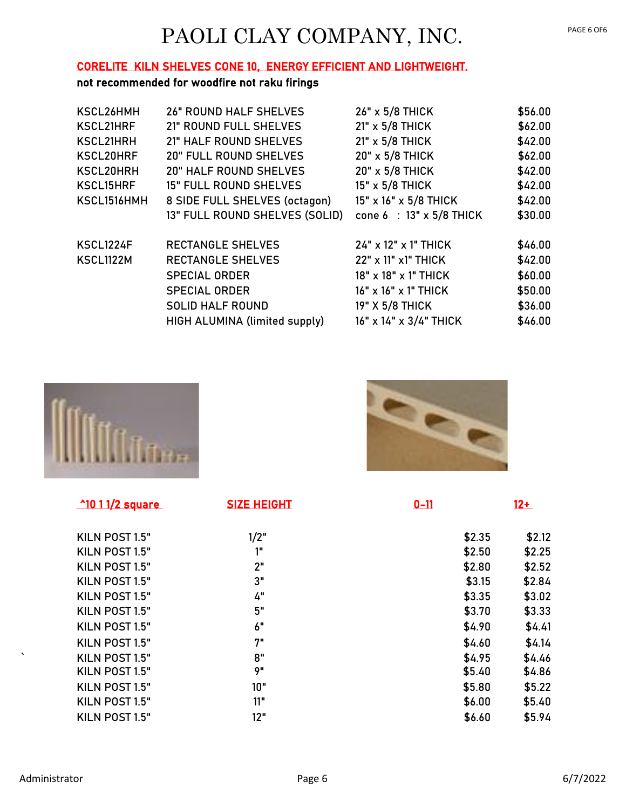#### CORELITE KILN SHELVES CONE 10, ENERGY EFFICIENT AND LIGHTWEIGHT.

#### not recommended for woodfire not raku firings

| KSCL26HMH        | <b>26" ROUND HALF SHELVES</b>  | 26" x 5/8 THICK          | \$56.00 |
|------------------|--------------------------------|--------------------------|---------|
| KSCL21HRF        | 21" ROUND FULL SHELVES         | 21" x 5/8 THICK          | \$62.00 |
| KSCL21HRH        | 21" HALF ROUND SHELVES         | 21" x 5/8 THICK          | \$42.00 |
| KSCL20HRF        | <b>20" FULL ROUND SHELVES</b>  | 20" x 5/8 THICK          | \$62.00 |
| KSCL20HRH        | <b>20" HALF ROUND SHELVES</b>  | 20" x 5/8 THICK          | \$42.00 |
| <b>KSCL15HRF</b> | <b>15" FULL ROUND SHELVES</b>  | 15" x 5/8 THICK          | \$42.00 |
| KSCL1516HMH      | 8 SIDE FULL SHELVES (octagon)  | 15" x 16" x 5/8 THICK    | \$42.00 |
|                  | 13" FULL ROUND SHELVES (SOLID) | cone 6 : 13" x 5/8 THICK | \$30.00 |
| KSCL1224F        | <b>RECTANGLE SHELVES</b>       | 24" x 12" x 1" THICK     | \$46.00 |
| <b>KSCL1122M</b> | <b>RECTANGLE SHELVES</b>       | 22" x 11" x1" THICK      | \$42.00 |
|                  | <b>SPECIAL ORDER</b>           | 18" x 18" x 1" THICK     | \$60.00 |
|                  | <b>SPECIAL ORDER</b>           | 16" x 16" x 1" THICK     | \$50.00 |
|                  | <b>SOLID HALF ROUND</b>        | 19" X 5/8 THICK          | \$36.00 |
|                  | HIGH ALUMINA (limited supply)  | 16" x 14" x 3/4" THICK   | \$46.00 |
|                  |                                |                          |         |



 $^{\circ}$ 10 1 1/2 square

KILN POST 1.5" KILN POST 1.5" KILN POST 1.5" KILN POST 1.5" KILN POST 1.5" **KILN POST 1.5"** KILN POST 1.5" KILN POST 1.5" KILN POST 1.5" KILN POST 1.5" KILN POST 1.5" KILN POST 1.5" KILN POST  $1.5"$ 

| <b>SIZE HEIGHT</b> | $0 - 11$ | $12+$  |
|--------------------|----------|--------|
| 1/2"               | \$2.35   | \$2.12 |
| 1"                 | \$2.50   | \$2.25 |
| 2"                 | \$2.80   | \$2.52 |
| 3"                 | \$3.15   | \$2.84 |
| 4"                 | \$3.35   | \$3.02 |
| 5"                 | \$3.70   | \$3.33 |
| 6"                 | \$4.90   | \$4.41 |
| 7"                 | \$4.60   | \$4.14 |
| 8"                 | \$4.95   | \$4.46 |
| 9"                 | \$5.40   | \$4.86 |
| 10"                | \$5.80   | \$5.22 |
| 11"                | \$6.00   | \$5.40 |
| 12"                | \$6.60   | \$5.94 |

**POR** 

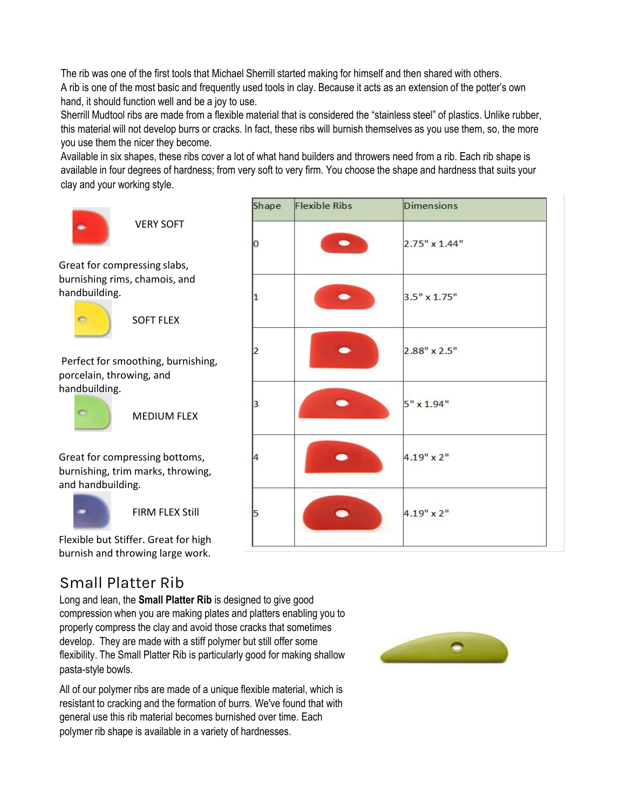The rib was one of the first tools that Michael Sherrill started making for himself and then shared with others. A rib is one of the most basic and frequently used tools in clay. Because it acts as an extension of the potter's own hand, it should function well and be a joy to use.

Sherrill Mudtool ribs are made from a flexible material that is considered the "stainless steel" of plastics. Unlike rubber, this material will not develop burrs or cracks. In fact, these ribs will burnish themselves as you use them, so, the more you use them the nicer they become.

Available in six shapes, these ribs cover a lot of what hand builders and throwers need from a rib. Each rib shape is available in four degrees of hardness; from very soft to very firm. You choose the shape and hardness that suits your clay and your working style.

**Flexible Ribs** 

Shape



VERY SOFT

Great for compressing slabs, burnishing rims, chamois, and handbuilding.



SOFT FLEX

Perfect for smoothing, burnishing, porcelain, throwing, and handbuilding.



MEDIUM FLEX

Great for compressing bottoms, burnishing, trim marks, throwing, and handbuilding.



FIRM FLEX Still

Flexible but Stiffer. Great for high burnish and throwing large work.

## Small Platter Rib

Long and lean, the **Small Platter Rib** is designed to give good compression when you are making plates and platters enabling you to properly compress the clay and avoid those cracks that sometimes develop. They are made with a stiff polymer but still offer some flexibility. The Small Platter Rib is particularly good for making shallow pasta-style bowls.

All of our polymer ribs are made of a unique flexible material, which is resistant to cracking and the formation of burrs. We've found that with general use this rib material becomes burnished over time. Each polymer rib shape is available in a variety of hardnesses.



**Dimensions** 

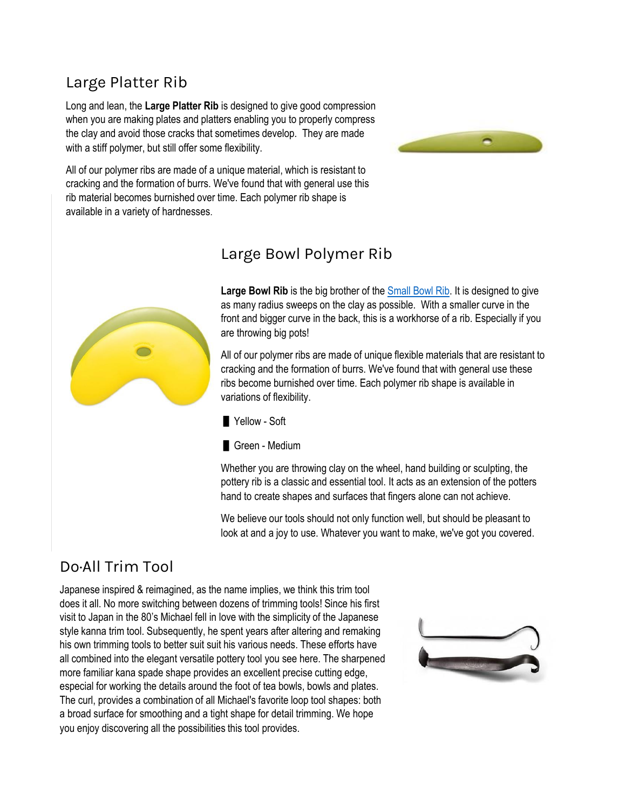## Large Platter Rib

Long and lean, the **Large Platter Rib** is designed to give good compression when you are making plates and platters enabling you to properly compress the clay and avoid those cracks that sometimes develop. They are made with a stiff polymer, but still offer some flexibility.



All of our polymer ribs are made of a unique material, which is resistant to cracking and the formation of burrs. We've found that with general use this rib material becomes burnished over time. Each polymer rib shape is available in a variety of hardnesses.



## Large Bowl Polymer Rib

Large Bowl Rib is the big brother of the **Small Bowl Rib.** It is designed to give as many radius sweeps on the clay as possible. With a smaller curve in the front and bigger curve in the back, this is a workhorse of a rib. Especially if you are throwing big pots!

All of our polymer ribs are made of unique flexible materials that are resistant to cracking and the formation of burrs. We've found that with general use these ribs become burnished over time. Each polymer rib shape is available in variations of flexibility.

Yellow - Soft



Whether you are throwing clay on the wheel, hand building or sculpting, the pottery rib is a classic and essential tool. It acts as an extension of the potters hand to create shapes and surfaces that fingers alone can not achieve.

We believe our tools should not only function well, but should be pleasant to look at and a joy to use. Whatever you want to make, we've got you covered.

## Do·All Trim Tool

Japanese inspired & reimagined, as the name implies, we think this trim tool does it all. No more switching between dozens of trimming tools! Since his first visit to Japan in the 80's Michael fell in love with the simplicity of the Japanese style kanna trim tool. Subsequently, he spent years after altering and remaking his own trimming tools to better suit suit his various needs. These efforts have all combined into the elegant versatile pottery tool you see here. The sharpened more familiar kana spade shape provides an excellent precise cutting edge, especial for working the details around the foot of tea bowls, bowls and plates. The curl, provides a combination of all Michael's favorite loop tool shapes: both a broad surface for smoothing and a tight shape for detail trimming. We hope you enjoy discovering all the possibilities this tool provides.

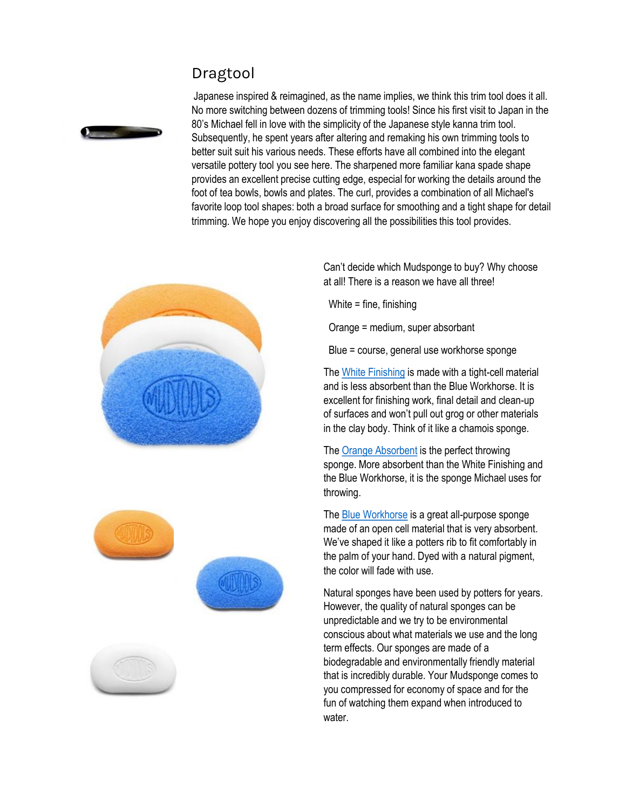## Dragtool



Japanese inspired & reimagined, as the name implies, we think this trim tool does it all. No more switching between dozens of trimming tools! Since his first visit to Japan in the 80's Michael fell in love with the simplicity of the Japanese style kanna trim tool. Subsequently, he spent years after altering and remaking his own trimming tools to better suit suit his various needs. These efforts have all combined into the elegant versatile pottery tool you see here. The sharpened more familiar kana spade shape provides an excellent precise cutting edge, especial for working the details around the foot of tea bowls, bowls and plates. The curl, provides a combination of all Michael's favorite loop tool shapes: both a broad surface for smoothing and a tight shape for detail trimming. We hope you enjoy discovering all the possibilities this tool provides.







Can't decide which Mudsponge to buy? Why choose at all! There is a reason we have all three!

White = fine, finishing

Orange = medium, super absorbant

Blue = course, general use workhorse sponge

The White Finishing is made with a tight-cell material and is less absorbent than the Blue Workhorse. It is excellent for finishing work, final detail and clean-up of surfaces and won't pull out grog or other materials in the clay body. Think of it like a chamois sponge.

The Orange Absorbent is the perfect throwing sponge. More absorbent than the White Finishing and the Blue Workhorse, it is the sponge Michael uses for throwing.

The Blue Workhorse is a great all-purpose sponge made of an open cell material that is very absorbent. We've shaped it like a potters rib to fit comfortably in the palm of your hand. Dyed with a natural pigment, the color will fade with use.

Natural sponges have been used by potters for years. However, the quality of natural sponges can be unpredictable and we try to be environmental conscious about what materials we use and the long term effects. Our sponges are made of a biodegradable and environmentally friendly material that is incredibly durable. Your Mudsponge comes to you compressed for economy of space and for the fun of watching them expand when introduced to water.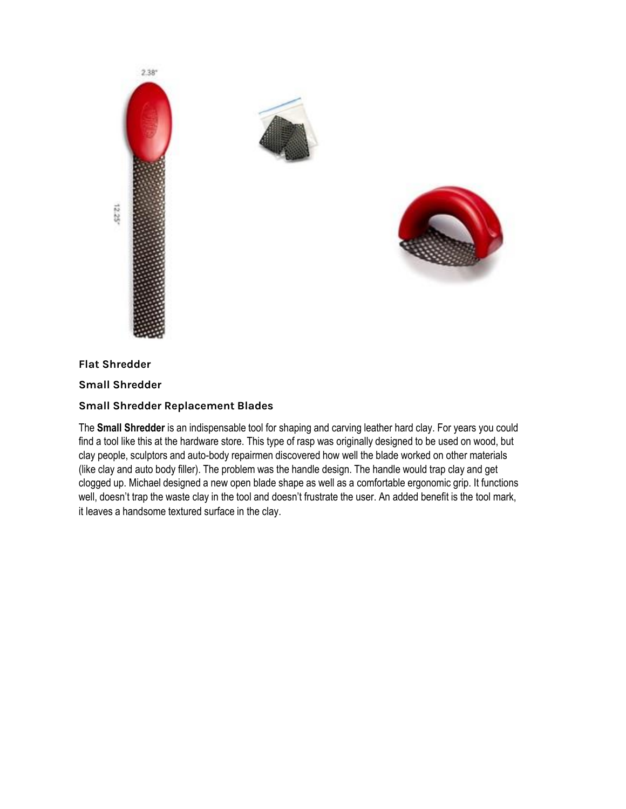



#### **Flat Shredder**

**Small Shredder**

#### **Small Shredder Replacement Blades**

The **Small Shredder** is an indispensable tool for shaping and carving leather hard clay. For years you could find a tool like this at the hardware store. This type of rasp was originally designed to be used on wood, but clay people, sculptors and auto-body repairmen discovered how well the blade worked on other materials (like clay and auto body filler). The problem was the handle design. The handle would trap clay and get clogged up. Michael designed a new open blade shape as well as a comfortable ergonomic grip. It functions well, doesn't trap the waste clay in the tool and doesn't frustrate the user. An added benefit is the tool mark, it leaves a handsome textured surface in the clay.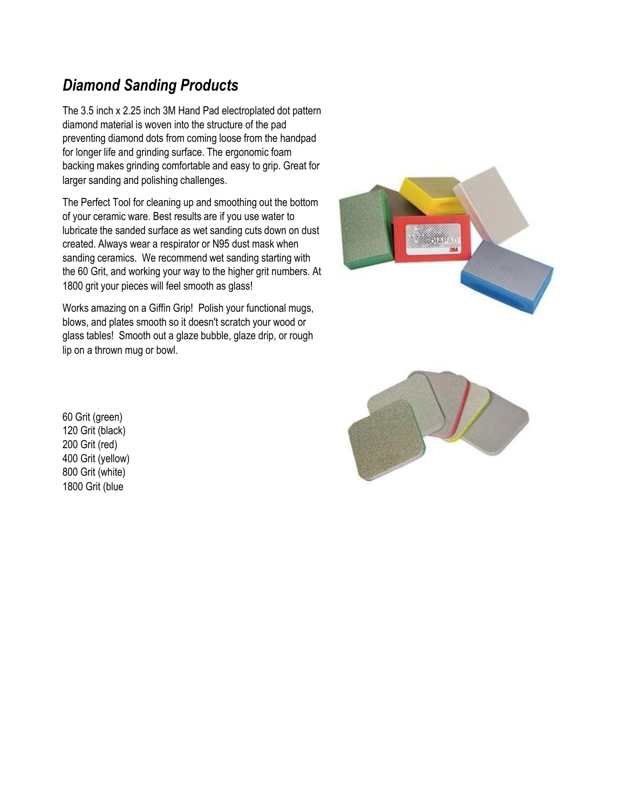## *Diamond Sanding Products*

The 3.5 inch x 2.25 inch 3M Hand Pad electroplated dot pattern diamond material is woven into the structure of the pad preventing diamond dots from coming loose from the handpad for longer life and grinding surface. The ergonomic foam backing makes grinding comfortable and easy to grip. Great for larger sanding and polishing challenges.

The Perfect Tool for cleaning up and smoothing out the bottom of your ceramic ware. Best results are if you use water to lubricate the sanded surface as wet sanding cuts down on dust created. Always wear a respirator or N95 dust mask when sanding ceramics. We recommend wet sanding starting with the 60 Grit, and working your way to the higher grit numbers. At 1800 grit your pieces will feel smooth as glass!

Works amazing on a Giffin Grip! Polish your functional mugs, blows, and plates smooth so it doesn't scratch your wood or glass tables! Smooth out a glaze bubble, glaze drip, or rough lip on a thrown mug or bowl.





60 Grit (green) 120 Grit (black) 200 Grit (red) 400 Grit (yellow) 800 Grit (white) 1800 Grit (blue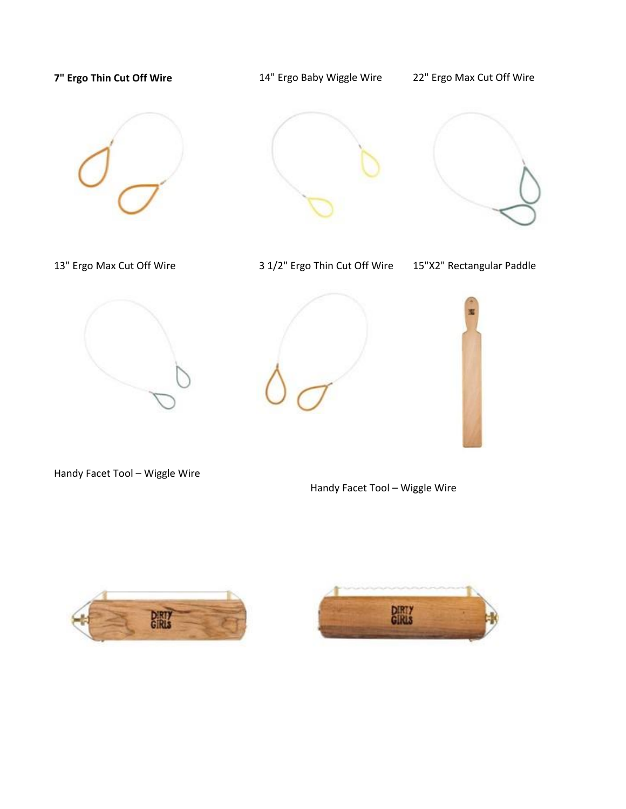# 7" Ergo Thin Cut Off Wire **14**" Ergo Baby Wiggle Wire 22" Ergo Max Cut Off Wire 13" Ergo Max Cut Off Wire 3 1/2" Ergo Thin Cut Off Wire 15"X2" Rectangular Paddle







Handy Facet Tool – Wiggle Wire

Handy Facet Tool – Wiggle Wire



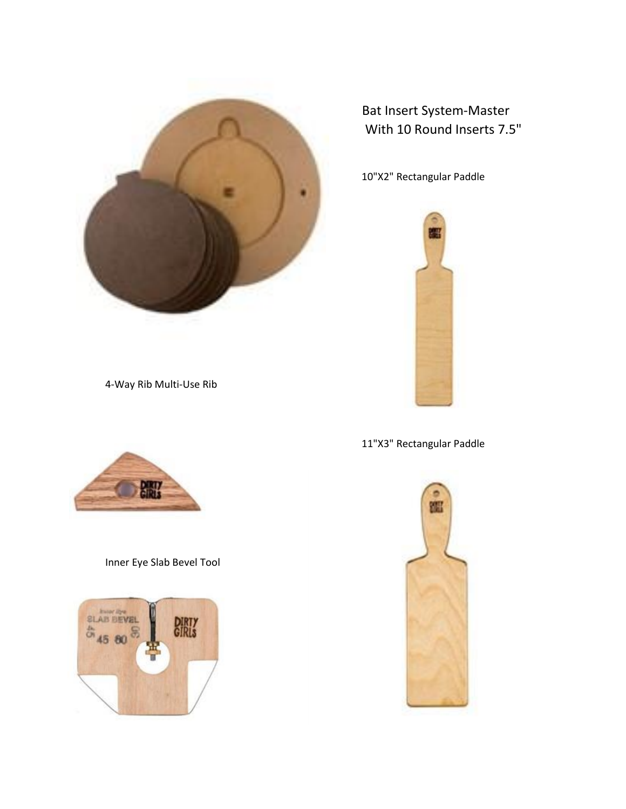

Bat Insert System-Master With 10 Round Inserts 7.5"

10"X2" Rectangular Paddle



4-Way Rib Multi-Use Rib



### Inner Eye Slab Bevel Tool





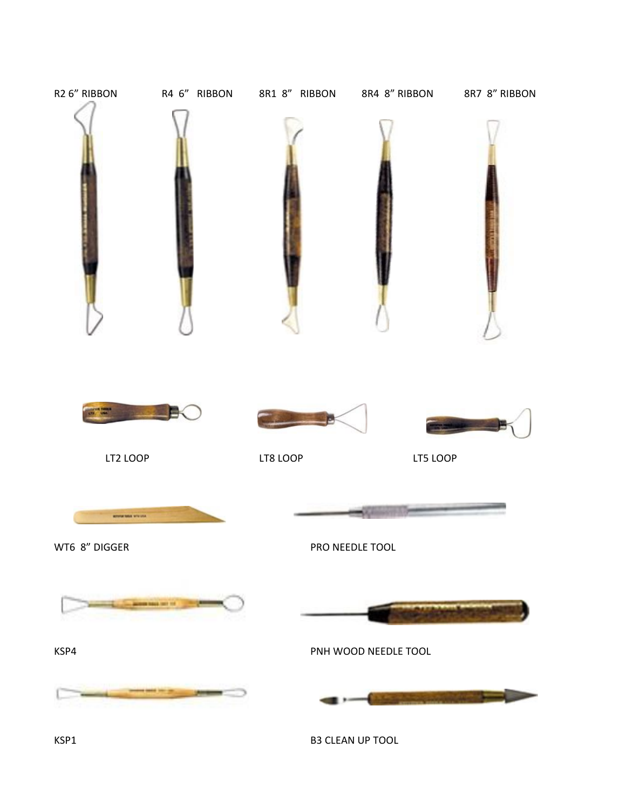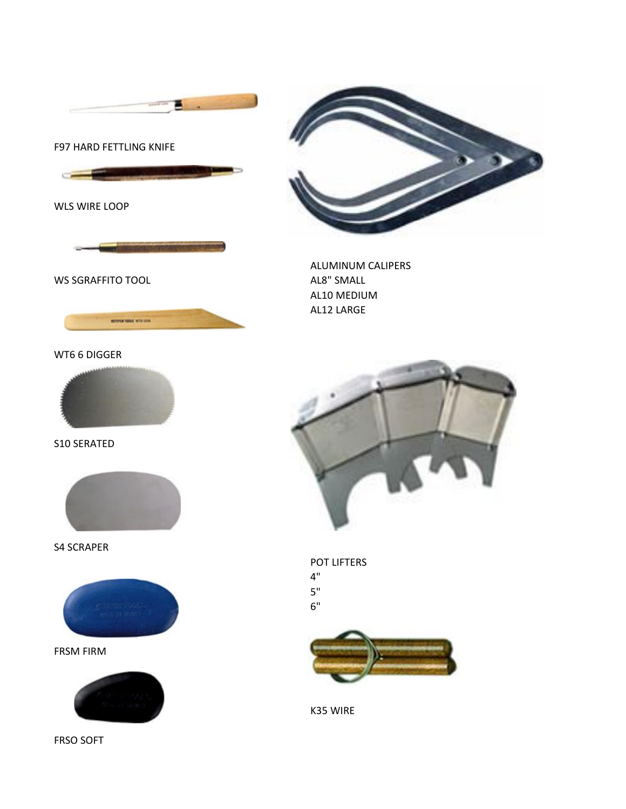









S10 SERATED

S4 SCRAPER



WT6 6 DIGGER



WS SGRAFFITO TOOL AL8" SMALL

WLS WIRE LOOP



z







AL10 MEDIUM AL12 LARGE

ALUMINUM CALIPERS

K35 WIRE

5" 6"

4"

POT LIFTERS